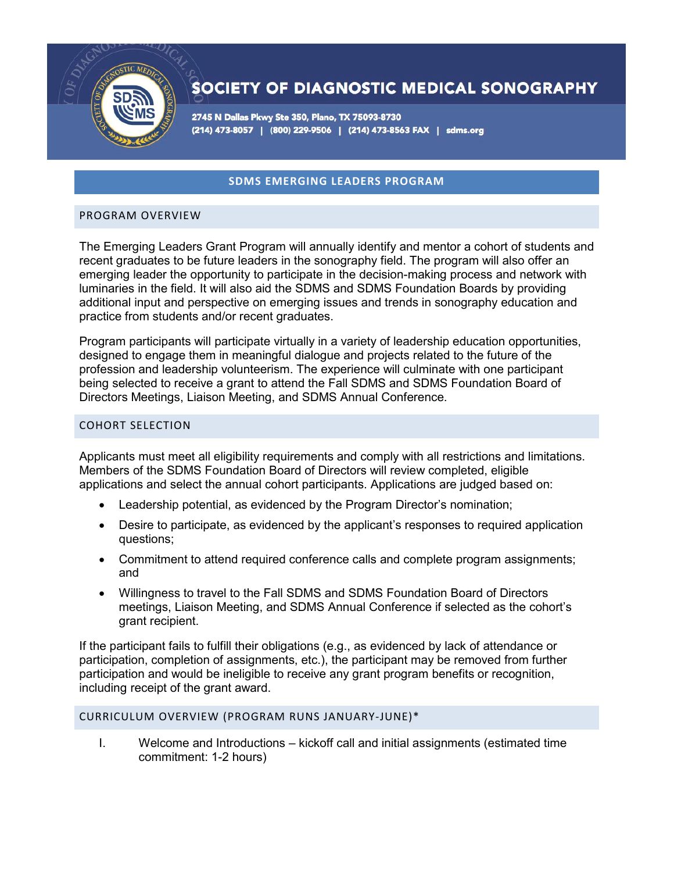

# SOCIETY OF DIAGNOSTIC MEDICAL SONOGRAPHY

2745 N Dallas Pkwy Ste 350, Plano, TX 75093-8730 (214) 473-8057 | (800) 229-9506 | (214) 473-8563 FAX | sdms.org

# **SDMS EMERGING LEADERS PROGRAM**

#### PROGRAM OVERVIEW

The Emerging Leaders Grant Program will annually identify and mentor a cohort of students and recent graduates to be future leaders in the sonography field. The program will also offer an emerging leader the opportunity to participate in the decision-making process and network with luminaries in the field. It will also aid the SDMS and SDMS Foundation Boards by providing additional input and perspective on emerging issues and trends in sonography education and practice from students and/or recent graduates.

Program participants will participate virtually in a variety of leadership education opportunities, designed to engage them in meaningful dialogue and projects related to the future of the profession and leadership volunteerism. The experience will culminate with one participant being selected to receive a grant to attend the Fall SDMS and SDMS Foundation Board of Directors Meetings, Liaison Meeting, and SDMS Annual Conference.

#### COHORT SELECTION

Applicants must meet all eligibility requirements and comply with all restrictions and limitations. Members of the SDMS Foundation Board of Directors will review completed, eligible applications and select the annual cohort participants. Applications are judged based on:

- Leadership potential, as evidenced by the Program Director's nomination;
- Desire to participate, as evidenced by the applicant's responses to required application questions;
- Commitment to attend required conference calls and complete program assignments; and
- Willingness to travel to the Fall SDMS and SDMS Foundation Board of Directors meetings, Liaison Meeting, and SDMS Annual Conference if selected as the cohort's grant recipient.

If the participant fails to fulfill their obligations (e.g., as evidenced by lack of attendance or participation, completion of assignments, etc.), the participant may be removed from further participation and would be ineligible to receive any grant program benefits or recognition, including receipt of the grant award.

#### CURRICULUM OVERVIEW (PROGRAM RUNS JANUARY-JUNE)\*

I. Welcome and Introductions – kickoff call and initial assignments (estimated time commitment: 1-2 hours)